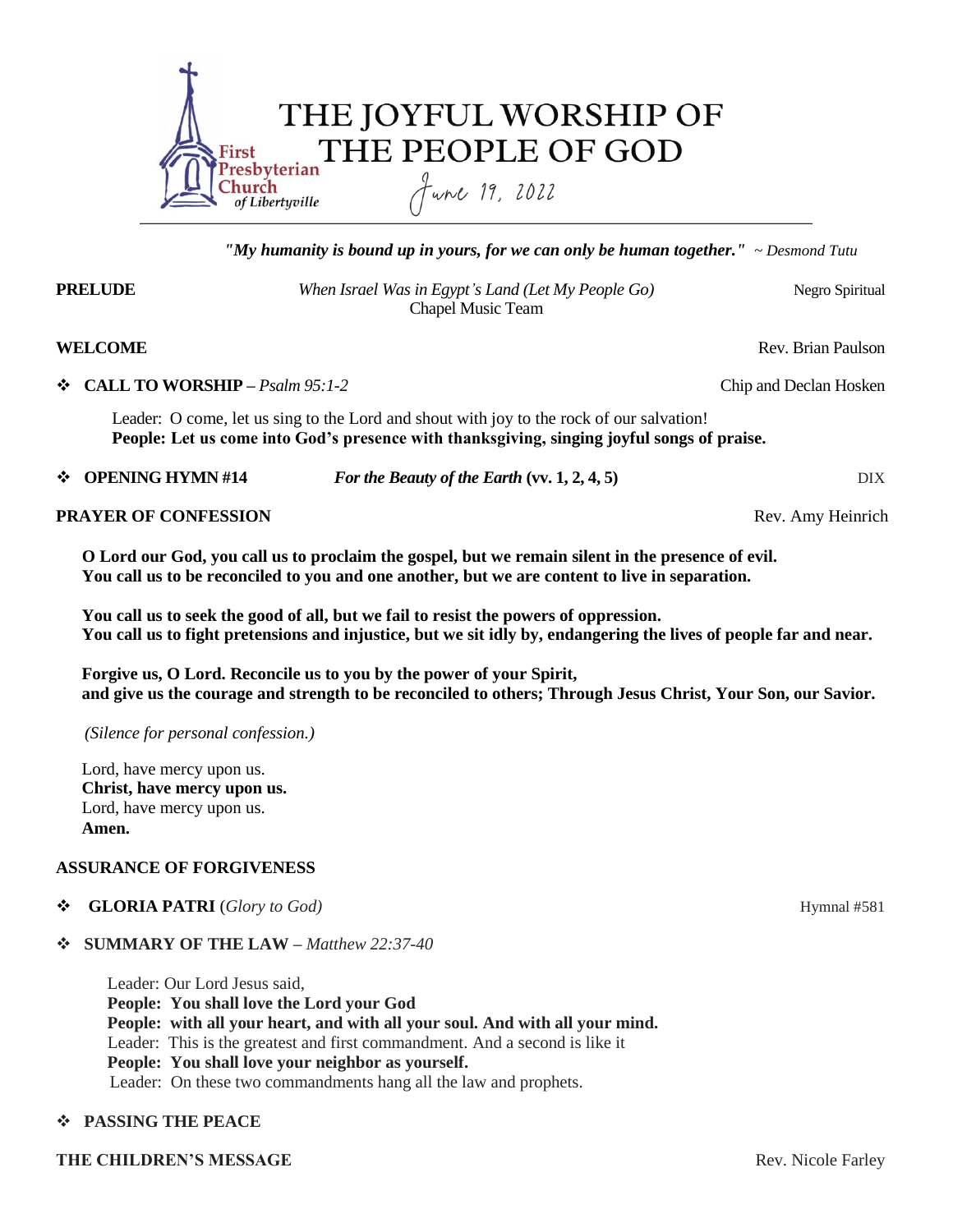

*"My humanity is bound up in yours, for we can only be human together." ~ Desmond Tutu*

**PRELUDE** *When Israel Was in Egypt's Land (Let My People Go)*Negro Spiritual Chapel Music Team

# **WELCOME** Rev. Brian Paulson

### ◆ **CALL TO WORSHIP** – *Psalm 95:1-2* Chip and Declan Hosken

Leader: O come, let us sing to the Lord and shout with joy to the rock of our salvation! **People: Let us come into God's presence with thanksgiving, singing joyful songs of praise.**

**→ OPENING HYMN #14** *For the Beauty of the Earth* (vv. 1, 2, 4, 5) DIX

# **PRAYER OF CONFESSION Rev. Amy Heinrich**

 **O Lord our God, you call us to proclaim the gospel, but we remain silent in the presence of evil. You call us to be reconciled to you and one another, but we are content to live in separation.**

 **You call us to seek the good of all, but we fail to resist the powers of oppression. You call us to fight pretensions and injustice, but we sit idly by, endangering the lives of people far and near.**

 **Forgive us, O Lord. Reconcile us to you by the power of your Spirit, and give us the courage and strength to be reconciled to others; Through Jesus Christ, Your Son, our Savior.**

 *(Silence for personal confession.)*

 Lord, have mercy upon us. **Christ, have mercy upon us.** Lord, have mercy upon us.  **Amen.**

# **ASSURANCE OF FORGIVENESS**

◆ **GLORIA PATRI** (*Glory to God*) Hymnal #581

# **SUMMARY OF THE LAW –** *Matthew 22:37-40*

 Leader: Our Lord Jesus said,  **People: You shall love the Lord your God People: with all your heart, and with all your soul. And with all your mind.** Leader: This is the greatest and first commandment. And a second is like it  **People: You shall love your neighbor as yourself.** Leader: On these two commandments hang all the law and prophets.

# **PASSING THE PEACE**

#### **THE CHILDREN'S MESSAGE**  Rev. Nicole Farley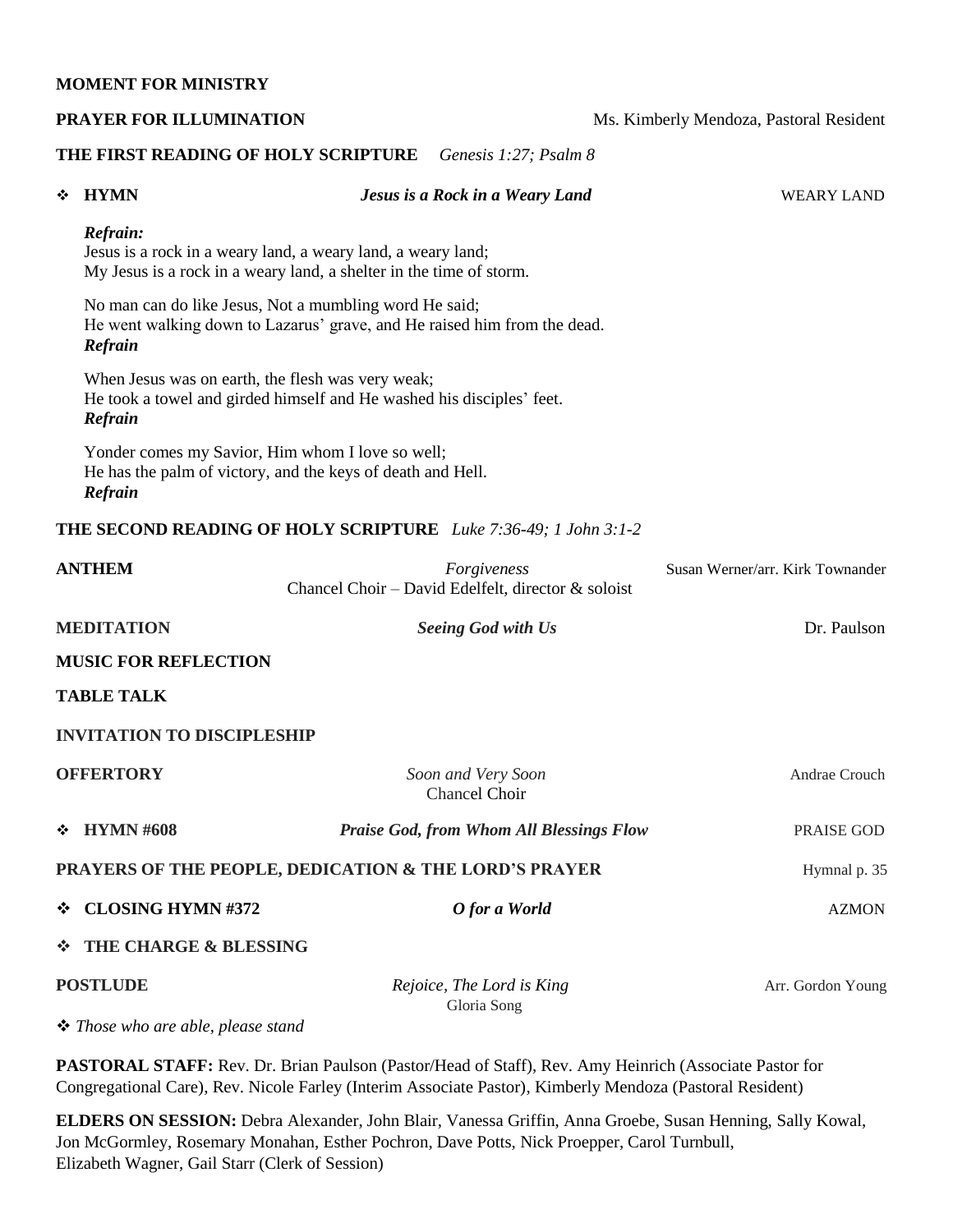### **MOMENT FOR MINISTRY**

| PRAYER FOR ILLUMINATION                               |                                                                                                                                                 |  |                                                                        | Ms. Kimberly Mendoza, Pastoral Resident |
|-------------------------------------------------------|-------------------------------------------------------------------------------------------------------------------------------------------------|--|------------------------------------------------------------------------|-----------------------------------------|
|                                                       | THE FIRST READING OF HOLY SCRIPTURE                                                                                                             |  | Genesis 1:27; Psalm 8                                                  |                                         |
| ❖                                                     | <b>HYMN</b>                                                                                                                                     |  | Jesus is a Rock in a Weary Land                                        | <b>WEARY LAND</b>                       |
|                                                       | Refrain:<br>Jesus is a rock in a weary land, a weary land, a weary land;<br>My Jesus is a rock in a weary land, a shelter in the time of storm. |  |                                                                        |                                         |
|                                                       | No man can do like Jesus, Not a mumbling word He said;<br>He went walking down to Lazarus' grave, and He raised him from the dead.<br>Refrain   |  |                                                                        |                                         |
|                                                       | When Jesus was on earth, the flesh was very weak;<br>He took a towel and girded himself and He washed his disciples' feet.<br>Refrain           |  |                                                                        |                                         |
|                                                       | Yonder comes my Savior, Him whom I love so well;<br>He has the palm of victory, and the keys of death and Hell.<br>Refrain                      |  |                                                                        |                                         |
|                                                       |                                                                                                                                                 |  | <b>THE SECOND READING OF HOLY SCRIPTURE</b> Luke 7:36-49; 1 John 3:1-2 |                                         |
|                                                       | <b>ANTHEM</b>                                                                                                                                   |  | Forgiveness<br>Chancel Choir – David Edelfelt, director & soloist      | Susan Werner/arr. Kirk Townander        |
|                                                       | <b>MEDITATION</b>                                                                                                                               |  | Seeing God with Us                                                     | Dr. Paulson                             |
|                                                       | <b>MUSIC FOR REFLECTION</b>                                                                                                                     |  |                                                                        |                                         |
|                                                       | <b>TABLE TALK</b>                                                                                                                               |  |                                                                        |                                         |
|                                                       | <b>INVITATION TO DISCIPLESHIP</b>                                                                                                               |  |                                                                        |                                         |
|                                                       | <b>OFFERTORY</b>                                                                                                                                |  | Soon and Very Soon<br><b>Chancel Choir</b>                             | Andrae Crouch                           |
| ❖                                                     | <b>HYMN #608</b>                                                                                                                                |  | <b>Praise God, from Whom All Blessings Flow</b>                        | PRAISE GOD                              |
| PRAYERS OF THE PEOPLE, DEDICATION & THE LORD'S PRAYER |                                                                                                                                                 |  |                                                                        | Hymnal p. 35                            |
| ❖                                                     | <b>CLOSING HYMN#372</b>                                                                                                                         |  | O for a World                                                          | <b>AZMON</b>                            |
| ❖                                                     | THE CHARGE & BLESSING                                                                                                                           |  |                                                                        |                                         |
| <b>POSTLUDE</b>                                       |                                                                                                                                                 |  | Rejoice, The Lord is King                                              | Arr. Gordon Young                       |
| ❖ Those who are able, please stand                    |                                                                                                                                                 |  | Gloria Song                                                            |                                         |

**PASTORAL STAFF:** Rev. Dr. Brian Paulson (Pastor/Head of Staff), Rev. Amy Heinrich (Associate Pastor for Congregational Care), Rev. Nicole Farley (Interim Associate Pastor), Kimberly Mendoza (Pastoral Resident)

**ELDERS ON SESSION:** Debra Alexander, John Blair, Vanessa Griffin, Anna Groebe, Susan Henning, Sally Kowal, Jon McGormley, Rosemary Monahan, Esther Pochron, Dave Potts, Nick Proepper, Carol Turnbull, Elizabeth Wagner, Gail Starr (Clerk of Session)